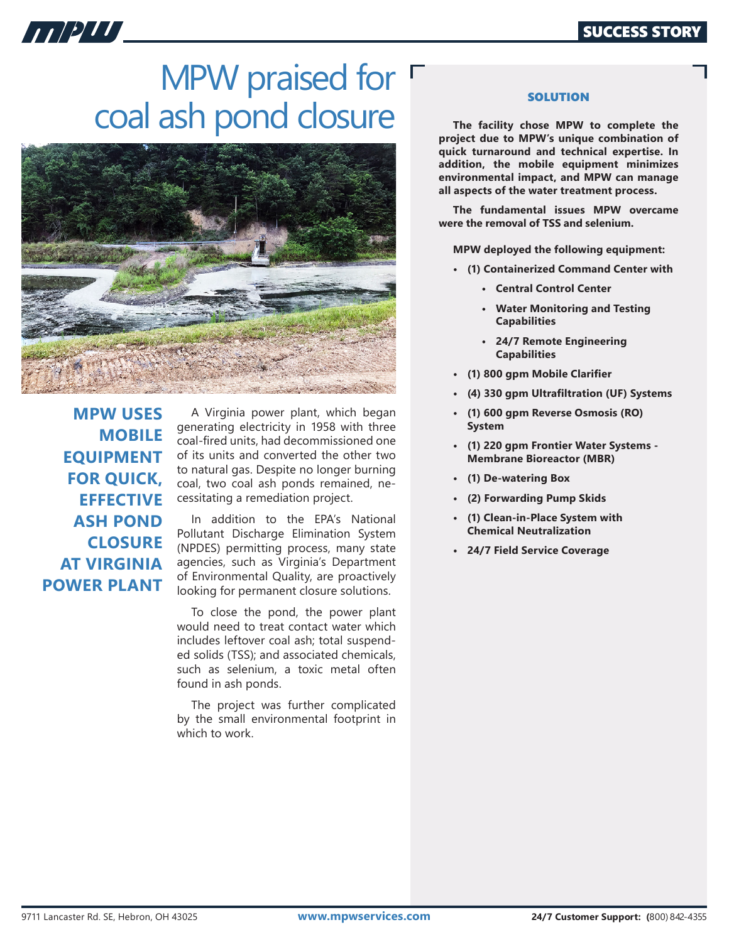

## MPW praised for  $\Gamma$ coal ash pond closure



**MPW USES MOBILE EQUIPMENT FOR QUICK, EFFECTIVE ASH POND CLOSURE AT VIRGINIA POWER PLANT**

A Virginia power plant, which began generating electricity in 1958 with three coal-fired units, had decommissioned one of its units and converted the other two to natural gas. Despite no longer burning coal, two coal ash ponds remained, necessitating a remediation project.

In addition to the EPA's National Pollutant Discharge Elimination System (NPDES) permitting process, many state agencies, such as Virginia's Department of Environmental Quality, are proactively looking for permanent closure solutions.

To close the pond, the power plant would need to treat contact water which includes leftover coal ash; total suspended solids (TSS); and associated chemicals, such as selenium, a toxic metal often found in ash ponds.

The project was further complicated by the small environmental footprint in which to work.

## **SOLUTION**

**The facility chose MPW to complete the project due to MPW's unique combination of quick turnaround and technical expertise. In addition, the mobile equipment minimizes environmental impact, and MPW can manage all aspects of the water treatment process.**

**The fundamental issues MPW overcame were the removal of TSS and selenium.** 

**MPW deployed the following equipment:**

- **(1) Containerized Command Center with**
	- **Central Control Center**
	- **Water Monitoring and Testing Capabilities**
	- **24/7 Remote Engineering Capabilities**
- **(1) 800 gpm Mobile Clarifier**
- **(4) 330 gpm Ultrafiltration (UF) Systems**
- **(1) 600 gpm Reverse Osmosis (RO) System**
- **(1) 220 gpm Frontier Water Systems Membrane Bioreactor (MBR)**
- **(1) De-watering Box**
- **(2) Forwarding Pump Skids**
- **(1) Clean-in-Place System with Chemical Neutralization**
- **• 24/7 Field Service Coverage**